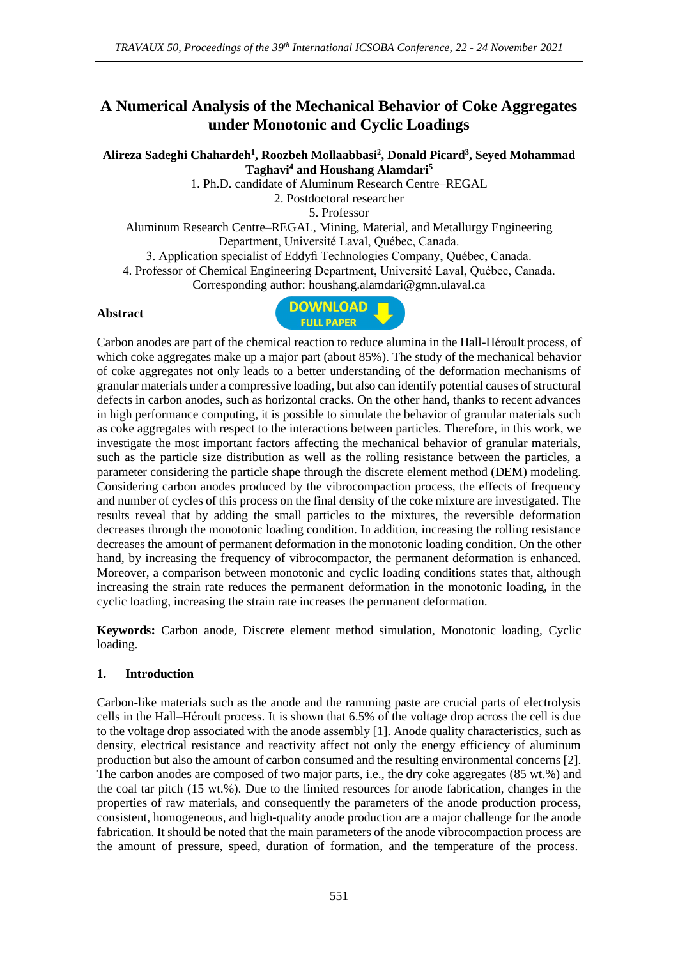# **A Numerical Analysis of the Mechanical Behavior of Coke Aggregates under Monotonic and Cyclic Loadings**

## **Alireza Sadeghi Chahardeh<sup>1</sup> , Roozbeh Mollaabbasi<sup>2</sup> , Donald Picard<sup>3</sup> , Seyed Mohammad Taghavi<sup>4</sup> and Houshang Alamdari<sup>5</sup>**

1. Ph.D. candidate of Aluminum Research Centre–REGAL

2. Postdoctoral researcher

5. Professor

Aluminum Research Centre–REGAL, Mining, Material, and Metallurgy Engineering Department, Université Laval, Québec, Canada.

3. Application specialist of Eddyfi Technologies Company, Québec, Canada.

4. Professor of Chemical Engineering Department, Université Laval, Québec, Canada.

Corresponding author: houshang.alamdari@gmn.ulaval.ca

#### **Abstract**



Carbon anodes are part of the chemical reaction to reduce alumina in the Hall-Héroult process, of which coke aggregates make up a major part (about 85%). The study of the mechanical behavior of coke aggregates not only leads to a better understanding of the deformation mechanisms of granular materials under a compressive loading, but also can identify potential causes of structural defects in carbon anodes, such as horizontal cracks. On the other hand, thanks to recent advances in high performance computing, it is possible to simulate the behavior of granular materials such as coke aggregates with respect to the interactions between particles. Therefore, in this work, we investigate the most important factors affecting the mechanical behavior of granular materials, such as the particle size distribution as well as the rolling resistance between the particles, a parameter considering the particle shape through the discrete element method (DEM) modeling. Considering carbon anodes produced by the vibrocompaction process, the effects of frequency and number of cycles of this process on the final density of the coke mixture are investigated. The results reveal that by adding the small particles to the mixtures, the reversible deformation decreases through the monotonic loading condition. In addition, increasing the rolling resistance decreases the amount of permanent deformation in the monotonic loading condition. On the other hand, by increasing the frequency of vibrocompactor, the permanent deformation is enhanced. Moreover, a comparison between monotonic and cyclic loading conditions states that, although increasing the strain rate reduces the permanent deformation in the monotonic loading, in the cyclic loading, increasing the strain rate increases the permanent deformation.

**Keywords:** Carbon anode, Discrete element method simulation, Monotonic loading, Cyclic loading.

### **1. Introduction**

Carbon-like materials such as the anode and the ramming paste are crucial parts of electrolysis cells in the Hall–Héroult process. It is shown that 6.5% of the voltage drop across the cell is due to the voltage drop associated with the anode assembly [1]. Anode quality characteristics, such as density, electrical resistance and reactivity affect not only the energy efficiency of aluminum production but also the amount of carbon consumed and the resulting environmental concerns [2]. The carbon anodes are composed of two major parts, i.e., the dry coke aggregates (85 wt.%) and the coal tar pitch (15 wt.%). Due to the limited resources for anode fabrication, changes in the properties of raw materials, and consequently the parameters of the anode production process, consistent, homogeneous, and high-quality anode production are a major challenge for the anode fabrication. It should be noted that the main parameters of the anode vibrocompaction process are the amount of pressure, speed, duration of formation, and the temperature of the process.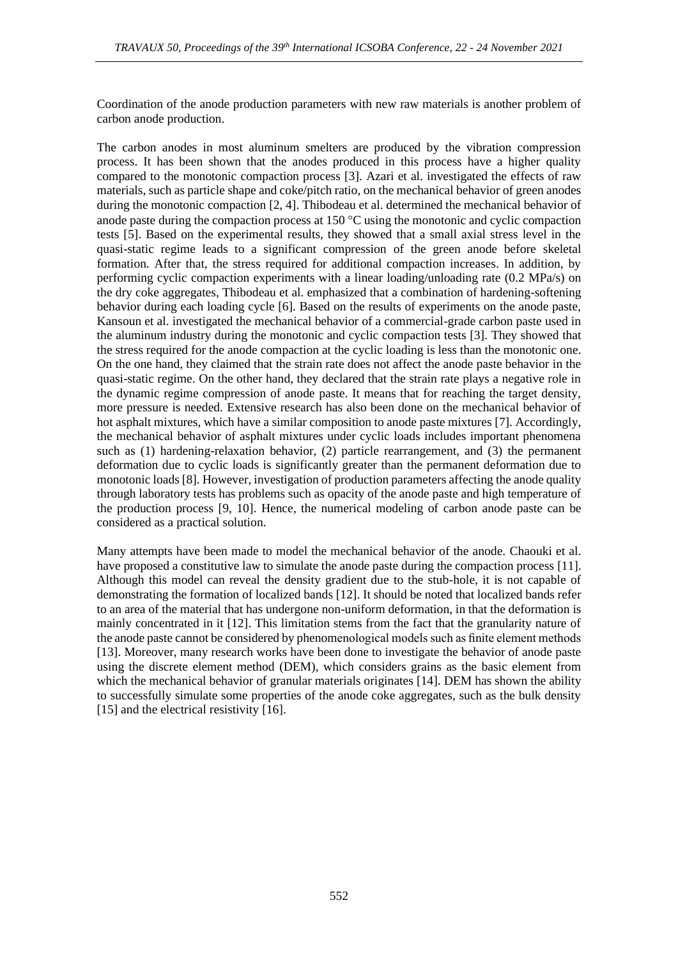Coordination of the anode production parameters with new raw materials is another problem of carbon anode production.

The carbon anodes in most aluminum smelters are produced by the vibration compression process. It has been shown that the anodes produced in this process have a higher quality compared to the monotonic compaction process [3]. Azari et al. investigated the effects of raw materials, such as particle shape and coke/pitch ratio, on the mechanical behavior of green anodes during the monotonic compaction [2, 4]. Thibodeau et al. determined the mechanical behavior of anode paste during the compaction process at  $150^{\circ}$ C using the monotonic and cyclic compaction tests [5]. Based on the experimental results, they showed that a small axial stress level in the quasi-static regime leads to a significant compression of the green anode before skeletal formation. After that, the stress required for additional compaction increases. In addition, by performing cyclic compaction experiments with a linear loading/unloading rate (0.2 MPa/s) on the dry coke aggregates, Thibodeau et al. emphasized that a combination of hardening-softening behavior during each loading cycle [6]. Based on the results of experiments on the anode paste, Kansoun et al. investigated the mechanical behavior of a commercial-grade carbon paste used in the aluminum industry during the monotonic and cyclic compaction tests [3]. They showed that the stress required for the anode compaction at the cyclic loading is less than the monotonic one. On the one hand, they claimed that the strain rate does not affect the anode paste behavior in the quasi-static regime. On the other hand, they declared that the strain rate plays a negative role in the dynamic regime compression of anode paste. It means that for reaching the target density, more pressure is needed.Extensive research has also been done on the mechanical behavior of hot asphalt mixtures, which have a similar composition to anode paste mixtures [7]. Accordingly, the mechanical behavior of asphalt mixtures under cyclic loads includes important phenomena such as (1) hardening-relaxation behavior, (2) particle rearrangement, and (3) the permanent deformation due to cyclic loads is significantly greater than the permanent deformation due to monotonic loads [8]. However, investigation of production parameters affecting the anode quality through laboratory tests has problems such as opacity of the anode paste and high temperature of the production process [9, 10]. Hence, the numerical modeling of carbon anode paste can be considered as a practical solution.

Many attempts have been made to model the mechanical behavior of the anode. Chaouki et al. have proposed a constitutive law to simulate the anode paste during the compaction process [11]. Although this model can reveal the density gradient due to the stub-hole, it is not capable of demonstrating the formation of localized bands [12]. It should be noted that localized bands refer to an area of the material that has undergone non-uniform deformation, in that the deformation is mainly concentrated in it [12].This limitation stems from the fact that the granularity nature of the anode paste cannot be considered by phenomenological models such as finite element methods [13]. Moreover, many research works have been done to investigate the behavior of anode paste using the discrete element method (DEM), which considers grains as the basic element from which the mechanical behavior of granular materials originates [14]. DEM has shown the ability to successfully simulate some properties of the anode coke aggregates, such as the bulk density [15] and the electrical resistivity [16].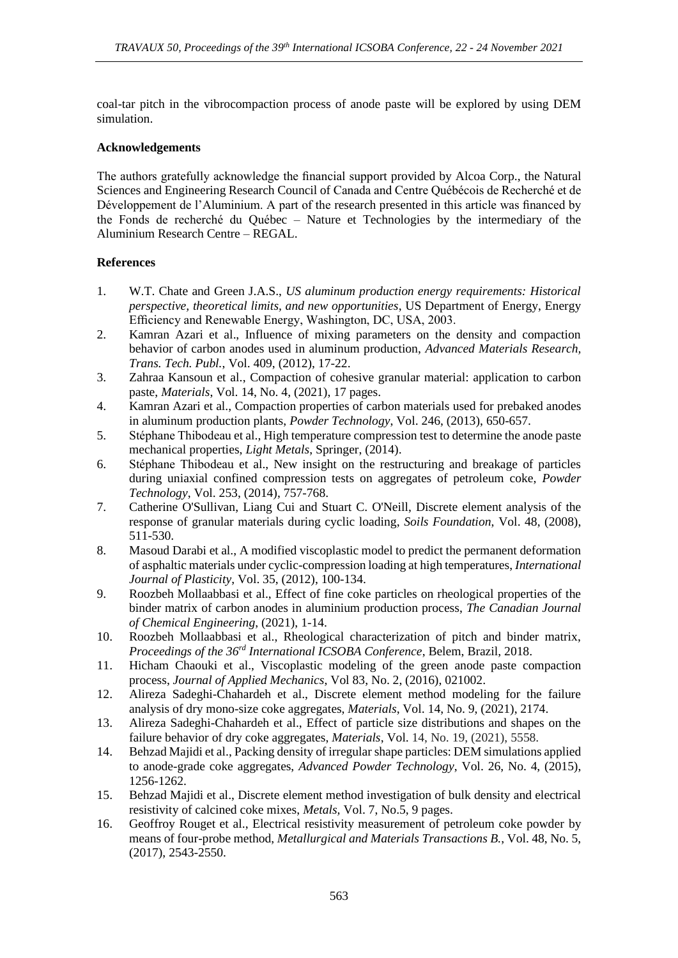coal-tar pitch in the vibrocompaction process of anode paste will be explored by using DEM simulation.

### **Acknowledgements**

The authors gratefully acknowledge the financial support provided by Alcoa Corp., the Natural Sciences and Engineering Research Council of Canada and Centre Québécois de Recherché et de Développement de l'Aluminium. A part of the research presented in this article was financed by the Fonds de recherché du Québec – Nature et Technologies by the intermediary of the Aluminium Research Centre – REGAL.

### **References**

- 1. W.T. Chate and Green J.A.S., *US aluminum production energy requirements: Historical perspective, theoretical limits, and new opportunities*, US Department of Energy, Energy Efficiency and Renewable Energy, Washington, DC, USA, 2003.
- 2. Kamran Azari et al., Influence of mixing parameters on the density and compaction behavior of carbon anodes used in aluminum production, *Advanced Materials Research, Trans. Tech. Publ.*, Vol. 409, (2012), 17-22.
- 3. Zahraa Kansoun et al., Compaction of cohesive granular material: application to carbon paste, *Materials*, Vol. 14, No. 4, (2021), 17 pages.
- 4. Kamran Azari et al., Compaction properties of carbon materials used for prebaked anodes in aluminum production plants, *Powder Technology*, Vol. 246, (2013), 650-657.
- 5. Stéphane Thibodeau et al., High temperature compression test to determine the anode paste mechanical properties, *Light Metals*, Springer, (2014).
- 6. Stéphane Thibodeau et al., New insight on the restructuring and breakage of particles during uniaxial confined compression tests on aggregates of petroleum coke, *Powder Technology*, Vol. 253, (2014), 757-768.
- 7. Catherine O'Sullivan, Liang Cui and Stuart C. O'Neill, Discrete element analysis of the response of granular materials during cyclic loading, *Soils Foundation*, Vol. 48, (2008), 511-530.
- 8. Masoud Darabi et al., A modified viscoplastic model to predict the permanent deformation of asphaltic materials under cyclic-compression loading at high temperatures, *International Journal of Plasticity*, Vol. 35, (2012), 100-134.
- 9. Roozbeh Mollaabbasi et al., Effect of fine coke particles on rheological properties of the binder matrix of carbon anodes in aluminium production process, *The Canadian Journal of Chemical Engineering*, (2021), 1-14.
- 10. Roozbeh Mollaabbasi et al., Rheological characterization of pitch and binder matrix, *Proceedings of the 36rd International ICSOBA Conference*, Belem, Brazil, 2018.
- 11. Hicham Chaouki et al., Viscoplastic modeling of the green anode paste compaction process, *Journal of Applied Mechanics*, Vol 83, No. 2, (2016), 021002.
- 12. Alireza Sadeghi-Chahardeh et al., Discrete element method modeling for the failure analysis of dry mono-size coke aggregates, *Materials*, Vol. 14, No. 9, (2021), 2174.
- 13. Alireza Sadeghi-Chahardeh et al., Effect of particle size distributions and shapes on the failure behavior of dry coke aggregates, *Materials*, Vol. 14, No. 19, (2021), 5558.
- 14. Behzad Majidi et al., Packing density of irregular shape particles: DEM simulations applied to anode-grade coke aggregates, *Advanced Powder Technology*, Vol. 26, No. 4, (2015), 1256-1262.
- 15. Behzad Majidi et al., Discrete element method investigation of bulk density and electrical resistivity of calcined coke mixes, *Metals,* Vol. 7, No.5, 9 pages.
- 16. Geoffroy Rouget et al., Electrical resistivity measurement of petroleum coke powder by means of four-probe method, *Metallurgical and Materials Transactions B.*, Vol. 48, No. 5, (2017), 2543-2550.